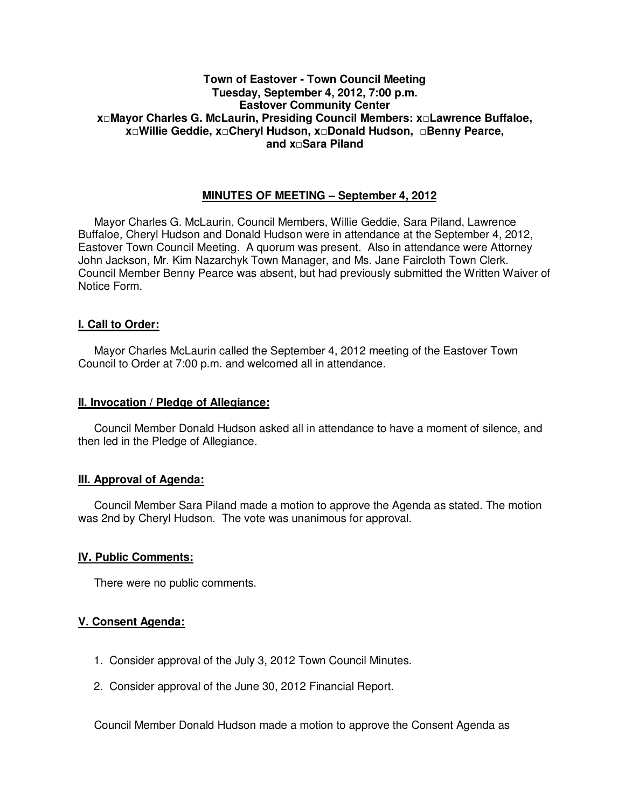## **Town of Eastover - Town Council Meeting Tuesday, September 4, 2012, 7:00 p.m. Eastover Community Center x□Mayor Charles G. McLaurin, Presiding Council Members: x□Lawrence Buffaloe, x□Willie Geddie, x□Cheryl Hudson, x□Donald Hudson, □Benny Pearce, and x□Sara Piland**

## **MINUTES OF MEETING – September 4, 2012**

Mayor Charles G. McLaurin, Council Members, Willie Geddie, Sara Piland, Lawrence Buffaloe, Cheryl Hudson and Donald Hudson were in attendance at the September 4, 2012, Eastover Town Council Meeting. A quorum was present. Also in attendance were Attorney John Jackson, Mr. Kim Nazarchyk Town Manager, and Ms. Jane Faircloth Town Clerk. Council Member Benny Pearce was absent, but had previously submitted the Written Waiver of Notice Form.

## **I. Call to Order:**

Mayor Charles McLaurin called the September 4, 2012 meeting of the Eastover Town Council to Order at 7:00 p.m. and welcomed all in attendance.

#### **II. Invocation / Pledge of Allegiance:**

 Council Member Donald Hudson asked all in attendance to have a moment of silence, and then led in the Pledge of Allegiance.

### **III. Approval of Agenda:**

 Council Member Sara Piland made a motion to approve the Agenda as stated. The motion was 2nd by Cheryl Hudson. The vote was unanimous for approval.

### **IV. Public Comments:**

There were no public comments.

### **V. Consent Agenda:**

- 1. Consider approval of the July 3, 2012 Town Council Minutes.
- 2. Consider approval of the June 30, 2012 Financial Report.

Council Member Donald Hudson made a motion to approve the Consent Agenda as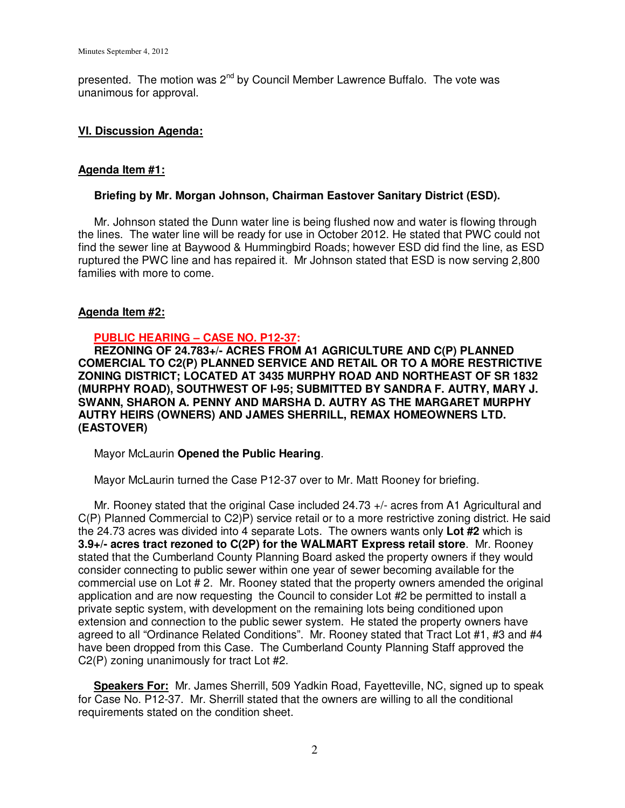presented. The motion was 2<sup>nd</sup> by Council Member Lawrence Buffalo. The vote was unanimous for approval.

## **VI. Discussion Agenda:**

## **Agenda Item #1:**

### **Briefing by Mr. Morgan Johnson, Chairman Eastover Sanitary District (ESD).**

Mr. Johnson stated the Dunn water line is being flushed now and water is flowing through the lines. The water line will be ready for use in October 2012. He stated that PWC could not find the sewer line at Baywood & Hummingbird Roads; however ESD did find the line, as ESD ruptured the PWC line and has repaired it. Mr Johnson stated that ESD is now serving 2,800 families with more to come.

## **Agenda Item #2:**

## **PUBLIC HEARING – CASE NO. P12-37:**

 **REZONING OF 24.783+/- ACRES FROM A1 AGRICULTURE AND C(P) PLANNED COMERCIAL TO C2(P) PLANNED SERVICE AND RETAIL OR TO A MORE RESTRICTIVE ZONING DISTRICT; LOCATED AT 3435 MURPHY ROAD AND NORTHEAST OF SR 1832 (MURPHY ROAD), SOUTHWEST OF I-95; SUBMITTED BY SANDRA F. AUTRY, MARY J. SWANN, SHARON A. PENNY AND MARSHA D. AUTRY AS THE MARGARET MURPHY AUTRY HEIRS (OWNERS) AND JAMES SHERRILL, REMAX HOMEOWNERS LTD. (EASTOVER)** 

Mayor McLaurin **Opened the Public Hearing**.

Mayor McLaurin turned the Case P12-37 over to Mr. Matt Rooney for briefing.

 Mr. Rooney stated that the original Case included 24.73 +/- acres from A1 Agricultural and C(P) Planned Commercial to C2)P) service retail or to a more restrictive zoning district. He said the 24.73 acres was divided into 4 separate Lots. The owners wants only **Lot #2** which is **3.9+/- acres tract rezoned to C(2P) for the WALMART Express retail store**. Mr. Rooney stated that the Cumberland County Planning Board asked the property owners if they would consider connecting to public sewer within one year of sewer becoming available for the commercial use on Lot # 2. Mr. Rooney stated that the property owners amended the original application and are now requesting the Council to consider Lot #2 be permitted to install a private septic system, with development on the remaining lots being conditioned upon extension and connection to the public sewer system. He stated the property owners have agreed to all "Ordinance Related Conditions". Mr. Rooney stated that Tract Lot #1, #3 and #4 have been dropped from this Case. The Cumberland County Planning Staff approved the C2(P) zoning unanimously for tract Lot #2.

 **Speakers For:** Mr. James Sherrill, 509 Yadkin Road, Fayetteville, NC, signed up to speak for Case No. P12-37. Mr. Sherrill stated that the owners are willing to all the conditional requirements stated on the condition sheet.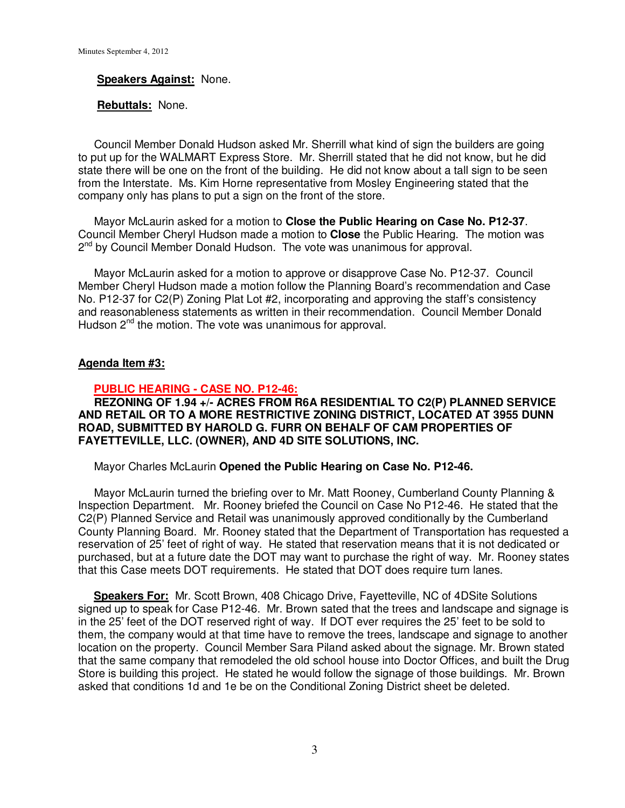#### **Speakers Against:** None.

#### **Rebuttals:** None.

 Council Member Donald Hudson asked Mr. Sherrill what kind of sign the builders are going to put up for the WALMART Express Store. Mr. Sherrill stated that he did not know, but he did state there will be one on the front of the building. He did not know about a tall sign to be seen from the Interstate. Ms. Kim Horne representative from Mosley Engineering stated that the company only has plans to put a sign on the front of the store.

 Mayor McLaurin asked for a motion to **Close the Public Hearing on Case No. P12-37**. Council Member Cheryl Hudson made a motion to **Close** the Public Hearing. The motion was 2<sup>nd</sup> by Council Member Donald Hudson. The vote was unanimous for approval.

 Mayor McLaurin asked for a motion to approve or disapprove Case No. P12-37. Council Member Cheryl Hudson made a motion follow the Planning Board's recommendation and Case No. P12-37 for C2(P) Zoning Plat Lot #2, incorporating and approving the staff's consistency and reasonableness statements as written in their recommendation. Council Member Donald Hudson  $2^{nd}$  the motion. The vote was unanimous for approval.

#### **Agenda Item #3:**

### **PUBLIC HEARING - CASE NO. P12-46:**

 **REZONING OF 1.94 +/- ACRES FROM R6A RESIDENTIAL TO C2(P) PLANNED SERVICE AND RETAIL OR TO A MORE RESTRICTIVE ZONING DISTRICT, LOCATED AT 3955 DUNN ROAD, SUBMITTED BY HAROLD G. FURR ON BEHALF OF CAM PROPERTIES OF FAYETTEVILLE, LLC. (OWNER), AND 4D SITE SOLUTIONS, INC.** 

Mayor Charles McLaurin **Opened the Public Hearing on Case No. P12-46.** 

 Mayor McLaurin turned the briefing over to Mr. Matt Rooney, Cumberland County Planning & Inspection Department. Mr. Rooney briefed the Council on Case No P12-46. He stated that the C2(P) Planned Service and Retail was unanimously approved conditionally by the Cumberland County Planning Board. Mr. Rooney stated that the Department of Transportation has requested a reservation of 25' feet of right of way. He stated that reservation means that it is not dedicated or purchased, but at a future date the DOT may want to purchase the right of way. Mr. Rooney states that this Case meets DOT requirements. He stated that DOT does require turn lanes.

 **Speakers For:** Mr. Scott Brown, 408 Chicago Drive, Fayetteville, NC of 4DSite Solutions signed up to speak for Case P12-46. Mr. Brown sated that the trees and landscape and signage is in the 25' feet of the DOT reserved right of way. If DOT ever requires the 25' feet to be sold to them, the company would at that time have to remove the trees, landscape and signage to another location on the property. Council Member Sara Piland asked about the signage. Mr. Brown stated that the same company that remodeled the old school house into Doctor Offices, and built the Drug Store is building this project. He stated he would follow the signage of those buildings. Mr. Brown asked that conditions 1d and 1e be on the Conditional Zoning District sheet be deleted.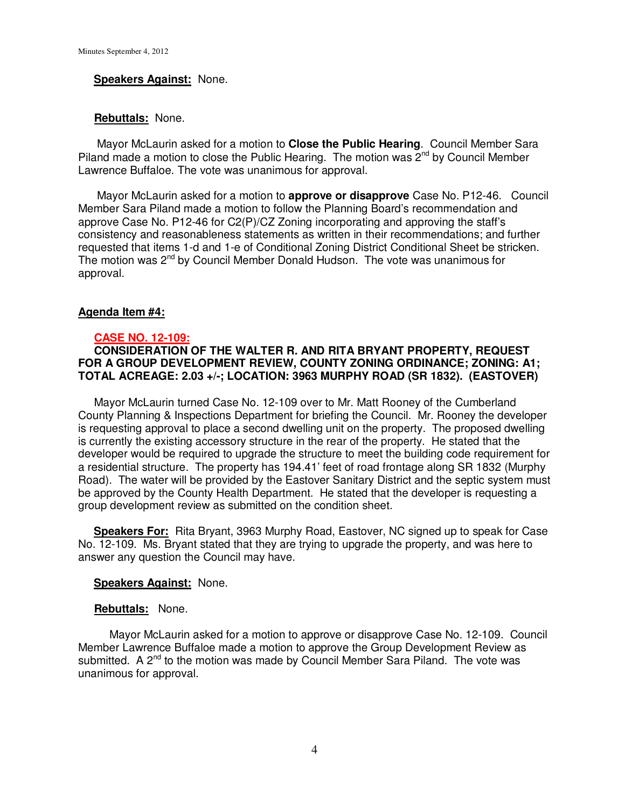#### **Speakers Against:** None.

#### **Rebuttals:** None.

 Mayor McLaurin asked for a motion to **Close the Public Hearing**. Council Member Sara Piland made a motion to close the Public Hearing. The motion was  $\tilde{2}^{nd}$  by Council Member Lawrence Buffaloe. The vote was unanimous for approval.

 Mayor McLaurin asked for a motion to **approve or disapprove** Case No. P12-46. Council Member Sara Piland made a motion to follow the Planning Board's recommendation and approve Case No. P12-46 for C2(P)/CZ Zoning incorporating and approving the staff's consistency and reasonableness statements as written in their recommendations; and further requested that items 1-d and 1-e of Conditional Zoning District Conditional Sheet be stricken. The motion was  $2^{nd}$  by Council Member Donald Hudson. The vote was unanimous for approval.

#### **Agenda Item #4:**

#### **CASE NO. 12-109:**

## **CONSIDERATION OF THE WALTER R. AND RITA BRYANT PROPERTY, REQUEST FOR A GROUP DEVELOPMENT REVIEW, COUNTY ZONING ORDINANCE; ZONING: A1; TOTAL ACREAGE: 2.03 +/-; LOCATION: 3963 MURPHY ROAD (SR 1832). (EASTOVER)**

Mayor McLaurin turned Case No. 12-109 over to Mr. Matt Rooney of the Cumberland County Planning & Inspections Department for briefing the Council. Mr. Rooney the developer is requesting approval to place a second dwelling unit on the property. The proposed dwelling is currently the existing accessory structure in the rear of the property. He stated that the developer would be required to upgrade the structure to meet the building code requirement for a residential structure. The property has 194.41' feet of road frontage along SR 1832 (Murphy Road). The water will be provided by the Eastover Sanitary District and the septic system must be approved by the County Health Department. He stated that the developer is requesting a group development review as submitted on the condition sheet.

 **Speakers For:** Rita Bryant, 3963 Murphy Road, Eastover, NC signed up to speak for Case No. 12-109. Ms. Bryant stated that they are trying to upgrade the property, and was here to answer any question the Council may have.

#### **Speakers Against:** None.

#### **Rebuttals:** None.

 Mayor McLaurin asked for a motion to approve or disapprove Case No. 12-109. Council Member Lawrence Buffaloe made a motion to approve the Group Development Review as submitted. A  $2^{nd}$  to the motion was made by Council Member Sara Piland. The vote was unanimous for approval.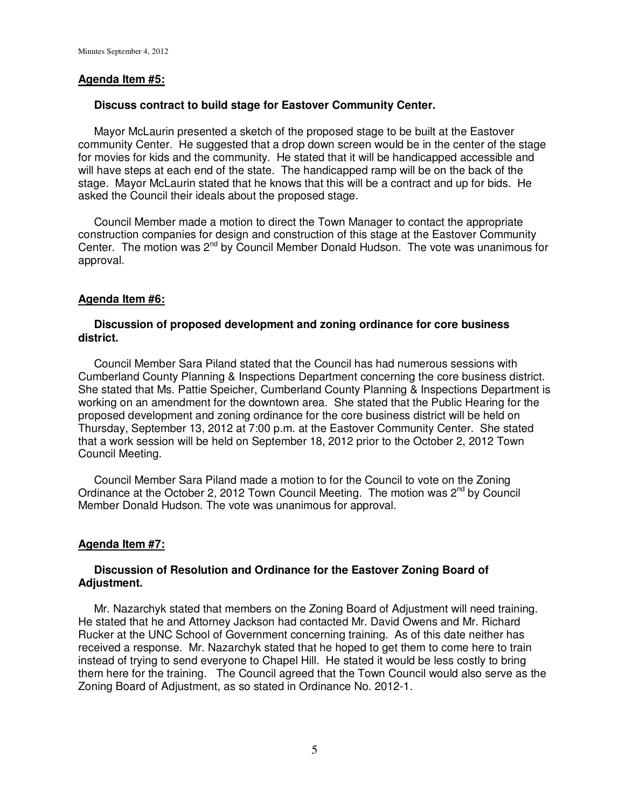## **Agenda Item #5:**

### **Discuss contract to build stage for Eastover Community Center.**

 Mayor McLaurin presented a sketch of the proposed stage to be built at the Eastover community Center. He suggested that a drop down screen would be in the center of the stage for movies for kids and the community. He stated that it will be handicapped accessible and will have steps at each end of the state. The handicapped ramp will be on the back of the stage. Mayor McLaurin stated that he knows that this will be a contract and up for bids. He asked the Council their ideals about the proposed stage.

 Council Member made a motion to direct the Town Manager to contact the appropriate construction companies for design and construction of this stage at the Eastover Community Center. The motion was 2nd by Council Member Donald Hudson.The vote was unanimous for approval.

## **Agenda Item #6:**

### **Discussion of proposed development and zoning ordinance for core business district.**

 Council Member Sara Piland stated that the Council has had numerous sessions with Cumberland County Planning & Inspections Department concerning the core business district. She stated that Ms. Pattie Speicher, Cumberland County Planning & Inspections Department is working on an amendment for the downtown area. She stated that the Public Hearing for the proposed development and zoning ordinance for the core business district will be held on Thursday, September 13, 2012 at 7:00 p.m. at the Eastover Community Center. She stated that a work session will be held on September 18, 2012 prior to the October 2, 2012 Town Council Meeting.

 Council Member Sara Piland made a motion to for the Council to vote on the Zoning Ordinance at the October 2, 2012 Town Council Meeting. The motion was  $2^{nd}$  by Council Member Donald Hudson. The vote was unanimous for approval.

### **Agenda Item #7:**

## **Discussion of Resolution and Ordinance for the Eastover Zoning Board of Adjustment.**

 Mr. Nazarchyk stated that members on the Zoning Board of Adjustment will need training. He stated that he and Attorney Jackson had contacted Mr. David Owens and Mr. Richard Rucker at the UNC School of Government concerning training. As of this date neither has received a response. Mr. Nazarchyk stated that he hoped to get them to come here to train instead of trying to send everyone to Chapel Hill. He stated it would be less costly to bring them here for the training. The Council agreed that the Town Council would also serve as the Zoning Board of Adjustment, as so stated in Ordinance No. 2012-1.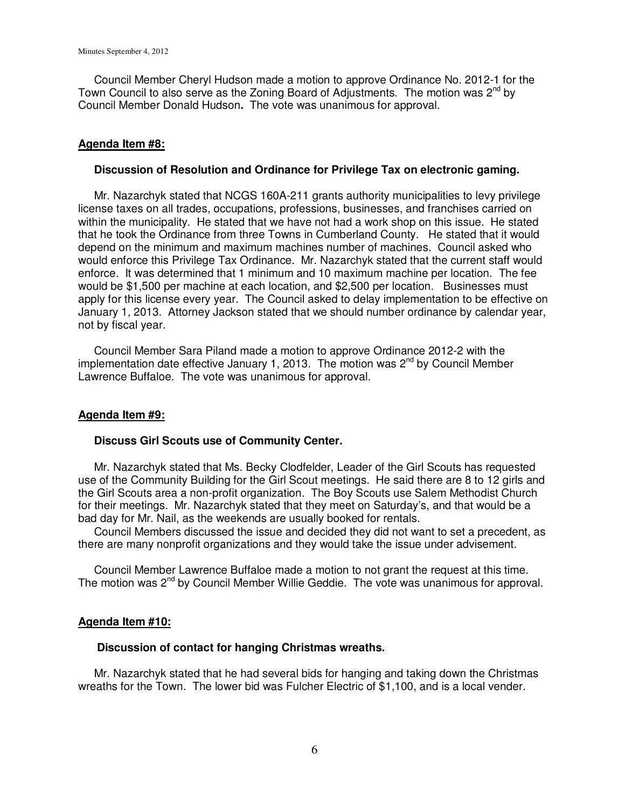Council Member Cheryl Hudson made a motion to approve Ordinance No. 2012-1 for the Town Council to also serve as the Zoning Board of Adjustments. The motion was  $2^{nd}$  by Council Member Donald Hudson**.** The vote was unanimous for approval.

### **Agenda Item #8:**

#### **Discussion of Resolution and Ordinance for Privilege Tax on electronic gaming.**

 Mr. Nazarchyk stated that NCGS 160A-211 grants authority municipalities to levy privilege license taxes on all trades, occupations, professions, businesses, and franchises carried on within the municipality. He stated that we have not had a work shop on this issue. He stated that he took the Ordinance from three Towns in Cumberland County. He stated that it would depend on the minimum and maximum machines number of machines. Council asked who would enforce this Privilege Tax Ordinance. Mr. Nazarchyk stated that the current staff would enforce. It was determined that 1 minimum and 10 maximum machine per location. The fee would be \$1,500 per machine at each location, and \$2,500 per location. Businesses must apply for this license every year. The Council asked to delay implementation to be effective on January 1, 2013. Attorney Jackson stated that we should number ordinance by calendar year, not by fiscal year.

 Council Member Sara Piland made a motion to approve Ordinance 2012-2 with the implementation date effective January 1, 2013. The motion was  $2^{nd}$  by Council Member Lawrence Buffaloe. The vote was unanimous for approval.

### **Agenda Item #9:**

### **Discuss Girl Scouts use of Community Center.**

 Mr. Nazarchyk stated that Ms. Becky Clodfelder, Leader of the Girl Scouts has requested use of the Community Building for the Girl Scout meetings. He said there are 8 to 12 girls and the Girl Scouts area a non-profit organization. The Boy Scouts use Salem Methodist Church for their meetings. Mr. Nazarchyk stated that they meet on Saturday's, and that would be a bad day for Mr. Nail, as the weekends are usually booked for rentals.

 Council Members discussed the issue and decided they did not want to set a precedent, as there are many nonprofit organizations and they would take the issue under advisement.

 Council Member Lawrence Buffaloe made a motion to not grant the request at this time. The motion was 2nd by Council Member Willie Geddie. The vote was unanimous for approval.

### **Agenda Item #10:**

#### **Discussion of contact for hanging Christmas wreaths.**

 Mr. Nazarchyk stated that he had several bids for hanging and taking down the Christmas wreaths for the Town. The lower bid was Fulcher Electric of \$1,100, and is a local vender.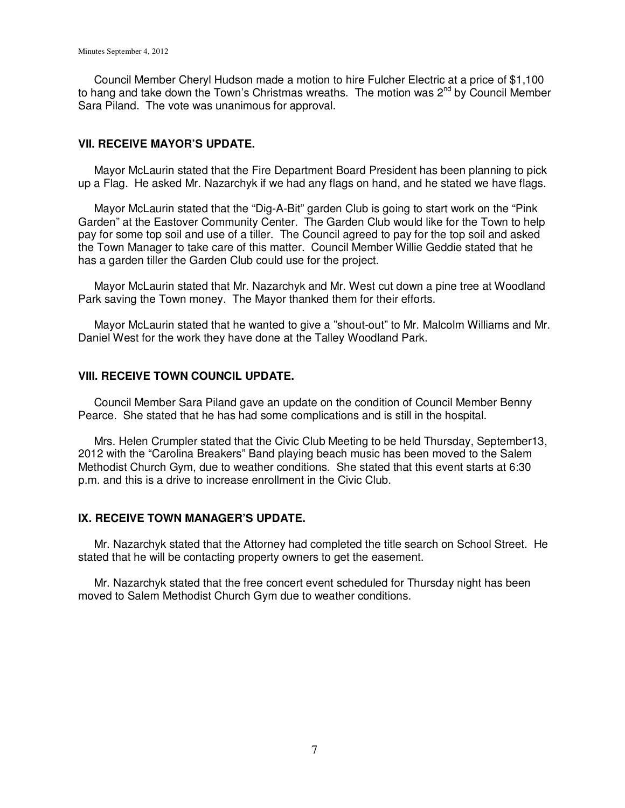Council Member Cheryl Hudson made a motion to hire Fulcher Electric at a price of \$1,100 to hang and take down the Town's Christmas wreaths. The motion was 2<sup>nd</sup> by Council Member Sara Piland. The vote was unanimous for approval.

### **VII. RECEIVE MAYOR'S UPDATE.**

 Mayor McLaurin stated that the Fire Department Board President has been planning to pick up a Flag. He asked Mr. Nazarchyk if we had any flags on hand, and he stated we have flags.

 Mayor McLaurin stated that the "Dig-A-Bit" garden Club is going to start work on the "Pink Garden" at the Eastover Community Center. The Garden Club would like for the Town to help pay for some top soil and use of a tiller. The Council agreed to pay for the top soil and asked the Town Manager to take care of this matter. Council Member Willie Geddie stated that he has a garden tiller the Garden Club could use for the project.

 Mayor McLaurin stated that Mr. Nazarchyk and Mr. West cut down a pine tree at Woodland Park saving the Town money. The Mayor thanked them for their efforts.

 Mayor McLaurin stated that he wanted to give a "shout-out" to Mr. Malcolm Williams and Mr. Daniel West for the work they have done at the Talley Woodland Park.

### **VIII. RECEIVE TOWN COUNCIL UPDATE.**

 Council Member Sara Piland gave an update on the condition of Council Member Benny Pearce. She stated that he has had some complications and is still in the hospital.

 Mrs. Helen Crumpler stated that the Civic Club Meeting to be held Thursday, September13, 2012 with the "Carolina Breakers" Band playing beach music has been moved to the Salem Methodist Church Gym, due to weather conditions. She stated that this event starts at 6:30 p.m. and this is a drive to increase enrollment in the Civic Club.

### **IX. RECEIVE TOWN MANAGER'S UPDATE.**

Mr. Nazarchyk stated that the Attorney had completed the title search on School Street. He stated that he will be contacting property owners to get the easement.

 Mr. Nazarchyk stated that the free concert event scheduled for Thursday night has been moved to Salem Methodist Church Gym due to weather conditions.